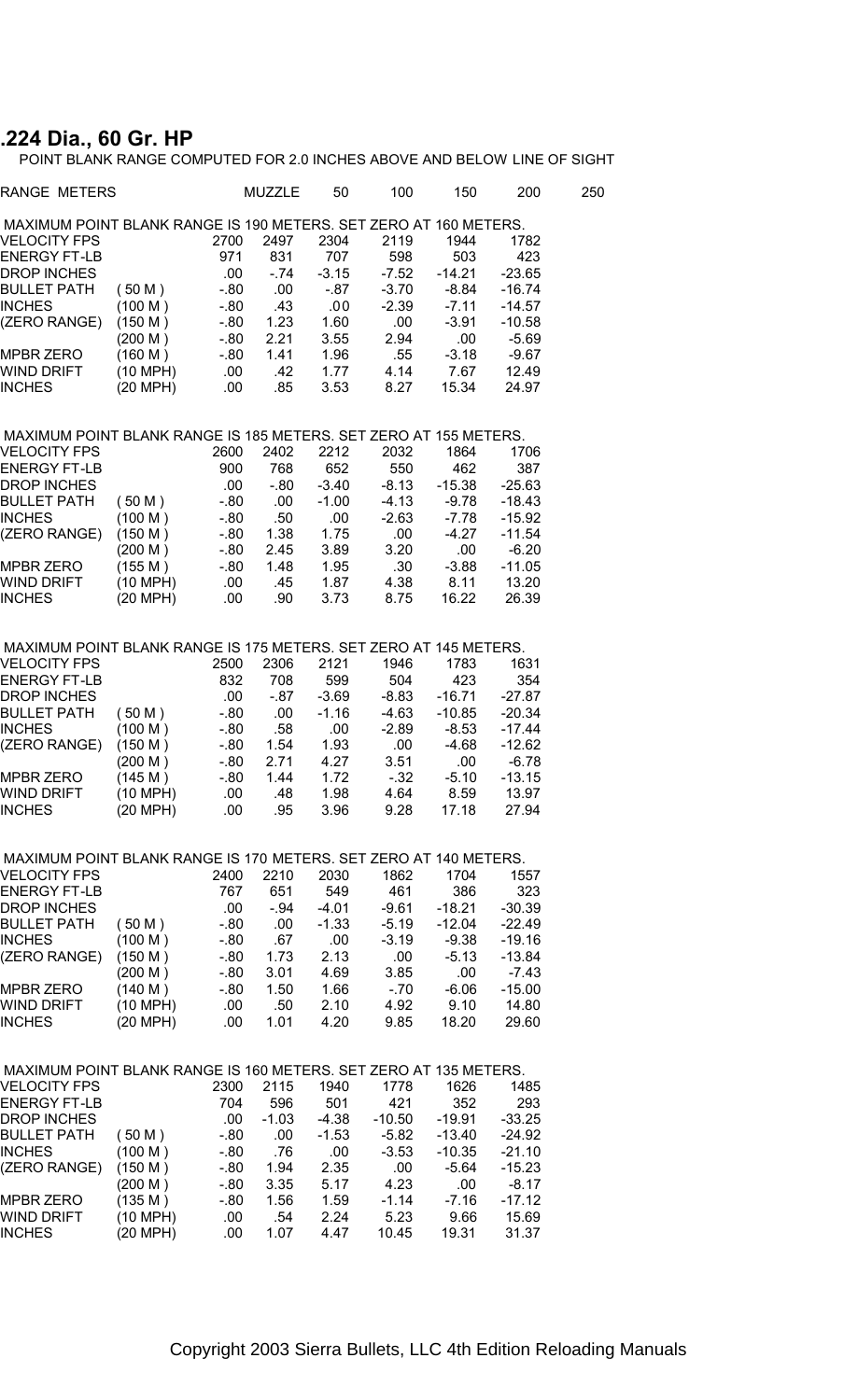## **.224 Dia., 60 Gr. HP**

POINT BLANK RANGE COMPUTED FOR 2.0 INCHES ABOVE AND BELOW LINE OF SIGHT

| RANGE METERS                                                     |            |         | <b>MUZZLE</b> | 50      | 100      | 150      | 200      | 250 |
|------------------------------------------------------------------|------------|---------|---------------|---------|----------|----------|----------|-----|
| MAXIMUM POINT BLANK RANGE IS 190 METERS. SET ZERO AT 160 METERS. |            |         |               |         |          |          |          |     |
| VELOCITY FPS                                                     |            | 2700    | 2497          | 2304    | 2119     | 1944     | 1782     |     |
| <b>ENERGY FT-LB</b>                                              |            | 971     | 831           | 707     | 598      | 503      | 423      |     |
| DROP INCHES                                                      |            | .00     | $-74$         | $-3.15$ | $-7.52$  | $-14.21$ | $-23.65$ |     |
| <b>BULLET PATH</b>                                               | (50 M)     | $-0.80$ | .00           | $-87$   | $-3.70$  | -8.84    | $-16.74$ |     |
| <b>INCHES</b>                                                    | (100 M)    | $-0.80$ | .43           | .00     | $-2.39$  | $-7.11$  | $-14.57$ |     |
| (ZERO RANGE)                                                     | (150 M)    | $-0.80$ | 1.23          | 1.60    | .00      | $-3.91$  | $-10.58$ |     |
|                                                                  | (200 M)    | $-80$   | 2.21          | 3.55    | 2.94     | .00      | $-5.69$  |     |
| <b>MPBR ZERO</b>                                                 | (160 M)    | $-0.80$ | 1.41          | 1.96    | .55      | $-3.18$  | $-9.67$  |     |
| WIND DRIFT                                                       | (10 MPH)   | .00     | .42           | 1.77    | 4.14     | 7.67     | 12.49    |     |
| <b>INCHES</b>                                                    | (20 MPH)   | .00.    | .85           | 3.53    | 8.27     | 15.34    | 24.97    |     |
| MAXIMUM POINT BLANK RANGE IS 185 METERS. SET ZERO AT 155 METERS. |            |         |               |         |          |          |          |     |
| VELOCITY FPS                                                     |            | 2600    | 2402          | 2212    | 2032     | 1864     | 1706     |     |
| <b>ENERGY FT-LB</b>                                              |            | 900     | 768           | 652     | 550      | 462      | 387      |     |
| <b>DROP INCHES</b>                                               |            | .00.    | $-80$         | -3.40   | $-8.13$  | $-15.38$ | $-25.63$ |     |
| <b>BULLET PATH</b>                                               | (50 M)     | $-80$   | .00           | $-1.00$ | $-4.13$  | $-9.78$  | $-18.43$ |     |
| <b>INCHES</b>                                                    | (100 M)    | $-0.80$ | .50           | .00     | $-2.63$  | $-7.78$  | $-15.92$ |     |
| (ZERO RANGE)                                                     | (150 M)    | $-80$   | 1.38          | 1.75    | .00      | $-4.27$  | $-11.54$ |     |
|                                                                  | (200 M)    | $-0.80$ | 2.45          | 3.89    | 3.20     | .00      | $-6.20$  |     |
| <b>MPBR ZERO</b>                                                 | (155 M)    | $-0.80$ | 1.48          | 1.95    | .30      | $-3.88$  | $-11.05$ |     |
| WIND DRIFT                                                       | (10 MPH)   | .00     | .45           | 1.87    | 4.38     | 8.11     | 13.20    |     |
| <b>INCHES</b>                                                    | (20 MPH)   | .00     | .90           | 3.73    | 8.75     | 16.22    | 26.39    |     |
| MAXIMUM POINT BLANK RANGE IS 175 METERS. SET ZERO AT 145 METERS. |            |         |               |         |          |          |          |     |
| <b>VELOCITY FPS</b>                                              |            | 2500    | 2306          | 2121    | 1946     | 1783     | 1631     |     |
| <b>ENERGY FT-LB</b>                                              |            | 832     | 708           | 599     | 504      | 423      | 354      |     |
| <b>DROP INCHES</b>                                               |            | .00.    | $-87$         | -3.69   | $-8.83$  | $-16.71$ | $-27.87$ |     |
| <b>BULLET PATH</b>                                               |            | $-0.80$ | .00           | $-1.16$ | $-4.63$  | $-10.85$ | $-20.34$ |     |
|                                                                  | (50 M)     |         |               |         |          |          |          |     |
| <b>INCHES</b>                                                    | (100 M)    | $-0.80$ | .58           | .00.    | $-2.89$  | $-8.53$  | $-17.44$ |     |
| (ZERO RANGE)                                                     | (150 M)    | $-80$   | 1.54          | 1.93    | .00      | -4.68    | $-12.62$ |     |
|                                                                  | (200 M)    | $-0.80$ | 2.71          | 4.27    | 3.51     | .00      | $-6.78$  |     |
| MPBR ZERO                                                        | (145 M)    | - 80    | 1.44          | 1.72    | $-32$    | $-5.10$  | $-13.15$ |     |
| WIND DRIFT                                                       | (10 MPH)   | .00     | .48           | 1.98    | 4.64     | 8.59     | 13.97    |     |
| <b>INCHES</b>                                                    | (20 MPH)   | .00.    | .95           | 3.96    | 9.28     | 17.18    | 27.94    |     |
| MAXIMUM POINT BLANK RANGE IS 170 METERS. SET ZERO AT 140 METERS. |            |         |               |         |          |          |          |     |
| <b>VELOCITY FPS</b>                                              |            | 2400    | 2210          | 2030    | 1862     | 1704     | 1557     |     |
| ENERGY FT-LB                                                     |            | 767     | 651           | 549     | 461      | 386      | 323      |     |
| <b>DROP INCHES</b>                                               |            | .00.    | - 94          | -4.01   | -9.61    | $-18.21$ | $-30.39$ |     |
| <b>BULLET PATH</b>                                               | (50 M)     | $-0.80$ | .00           | $-1.33$ | $-5.19$  | $-12.04$ | $-22.49$ |     |
| <b>INCHES</b>                                                    | (100 M)    | $-0.80$ | .67           | .00     | $-3.19$  | $-9.38$  | $-19.16$ |     |
| (ZERO RANGE)                                                     | (150 M)    | -.80    | 1.73          | 2.13    | .00      | $-5.13$  | $-13.84$ |     |
|                                                                  | (200 M)    | $-0.80$ | 3.01          | 4.69    | 3.85     | .00      | $-7.43$  |     |
| MPBR ZERO                                                        | (140 M)    | - 80    | 1.50          | 1.66    | $-70$    | $-6.06$  | $-15.00$ |     |
| WIND DRIFT                                                       | (10 MPH)   | .00     | .50           | 2.10    | 4.92     | 9.10     | 14.80    |     |
| <b>INCHES</b>                                                    | (20 MPH)   | .00     | 1.01          | 4.20    | 9.85     | 18.20    | 29.60    |     |
| MAXIMUM POINT BLANK RANGE IS 160 METERS. SET ZERO AT 135 METERS. |            |         |               |         |          |          |          |     |
| <b>VELOCITY FPS</b>                                              |            | 2300    | 2115          | 1940    | 1778     | 1626     | 1485     |     |
| ENERGY FT-LB                                                     |            | 704     | 596           | 501     | 421      | 352      | 293      |     |
| DROP INCHES                                                      |            | .00     | $-1.03$       | -4.38   | $-10.50$ | $-19.91$ | $-33.25$ |     |
| <b>BULLET PATH</b>                                               | (50 M)     | -.80    | .00           | -1.53   | $-5.82$  | $-13.40$ | -24.92   |     |
| <b>INCHES</b>                                                    | (100 M)    | -.80    | .76           | .00     | $-3.53$  | $-10.35$ | $-21.10$ |     |
|                                                                  |            |         |               |         |          |          |          |     |
| (ZERO RANGE)                                                     | (150 M)    | -.80    | 1.94          | 2.35    | .00      | $-5.64$  | $-15.23$ |     |
|                                                                  | (200 M)    | - 80    | 3.35          | 5.17    | 4.23     | .00      | $-8.17$  |     |
| MPBR ZERO                                                        | (135 M)    | -.80    | 1.56          | 1.59    | $-1.14$  | $-7.16$  | $-17.12$ |     |
| WIND DRIFT                                                       | $(10$ MPH) | .00     | .54           | 2.24    | 5.23     | 9.66     | 15.69    |     |
| INCHES                                                           | (20 MPH)   | .00     | 1.07          | 4.47    | 10.45    | 19.31    | 31.37    |     |